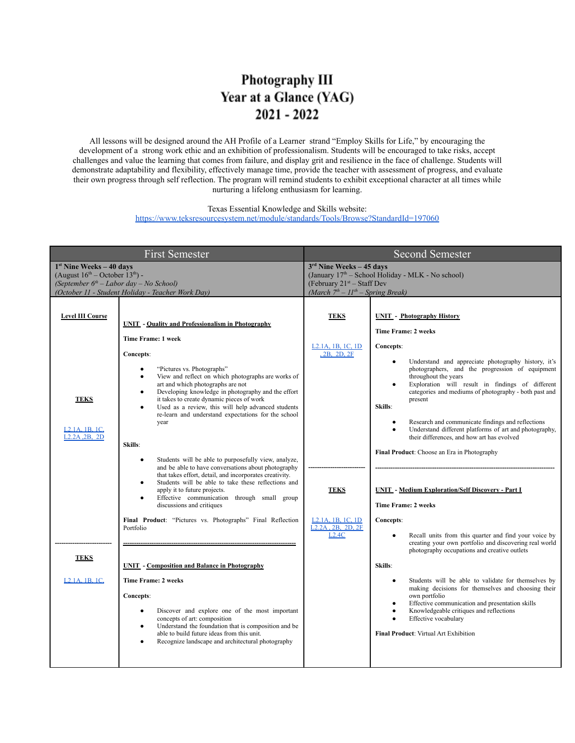## Photography III Year at a Glance (YAG)  $2021 - 2022$

All lessons will be designed around the AH Profile of a Learner strand "Employ Skills for Life," by encouraging the development of a strong work ethic and an exhibition of professionalism. Students will be encouraged to take risks, accept challenges and value the learning that comes from failure, and display grit and resilience in the face of challenge. Students will demonstrate adaptability and flexibility, effectively manage time, provide the teacher with assessment of progress, and evaluate their own progress through self reflection. The program will remind students to exhibit exceptional character at all times while nurturing a lifelong enthusiasm for learning.

Texas Essential Knowledge and Skills website:

<https://www.teksresourcesystem.net/module/standards/Tools/Browse?StandardId=197060>

| <b>First Semester</b>                                                                                                                                                                   |                                                                                                                                                                                                                                                                                                                                                                                                                                                                                                | <b>Second Semester</b>                                                                                                                                              |                                                                                                                                                                                                                                                                                                                                                                                                                                                                                                                                   |
|-----------------------------------------------------------------------------------------------------------------------------------------------------------------------------------------|------------------------------------------------------------------------------------------------------------------------------------------------------------------------------------------------------------------------------------------------------------------------------------------------------------------------------------------------------------------------------------------------------------------------------------------------------------------------------------------------|---------------------------------------------------------------------------------------------------------------------------------------------------------------------|-----------------------------------------------------------------------------------------------------------------------------------------------------------------------------------------------------------------------------------------------------------------------------------------------------------------------------------------------------------------------------------------------------------------------------------------------------------------------------------------------------------------------------------|
| $1st$ Nine Weeks - 40 days<br>(August $16^{\text{th}}$ – October $13^{\text{th}}$ ) -<br>(September $6th$ – Labor day – No School)<br>(October 11 - Student Holiday - Teacher Work Day) |                                                                                                                                                                                                                                                                                                                                                                                                                                                                                                | $3rd$ Nine Weeks - 45 days<br>(January 17 <sup>th</sup> – School Holiday - MLK - No school)<br>(February $21st - Staff Dev$<br>(March $7th - 11th - Spring Break$ ) |                                                                                                                                                                                                                                                                                                                                                                                                                                                                                                                                   |
| <b>Level III Course</b>                                                                                                                                                                 | <b>UNIT</b> - Quality and Professionalism in Photography<br>Time Frame: 1 week                                                                                                                                                                                                                                                                                                                                                                                                                 | <b>TEKS</b><br>L <sub>2</sub> .1A, 1B, 1C, 1D                                                                                                                       | <b>UNIT</b> - Photography History<br><b>Time Frame: 2 weeks</b><br>Concepts:                                                                                                                                                                                                                                                                                                                                                                                                                                                      |
| <b>TEKS</b><br>L <sub>2</sub> .1A, 1B, 1C<br>L <sub>2</sub> .2A <sub>.2</sub> B <sub>, 2</sub> D                                                                                        | Concepts:<br>"Pictures vs. Photographs"<br>$\bullet$<br>View and reflect on which photographs are works of<br>$\bullet$<br>art and which photographs are not<br>Developing knowledge in photography and the effort<br>$\bullet$<br>it takes to create dynamic pieces of work<br>Used as a review, this will help advanced students<br>$\bullet$<br>re-learn and understand expectations for the school<br>year<br>Skills:<br>Students will be able to purposefully view, analyze,<br>$\bullet$ | <b>2B. 2D. 2F</b>                                                                                                                                                   | Understand and appreciate photography history, it's<br>$\bullet$<br>photographers, and the progression of equipment<br>throughout the years<br>Exploration will result in findings of different<br>$\bullet$<br>categories and mediums of photography - both past and<br>present<br>Skills:<br>Research and communicate findings and reflections<br>$\bullet$<br>Understand different platforms of art and photography,<br>$\bullet$<br>their differences, and how art has evolved<br>Final Product: Choose an Era in Photography |
|                                                                                                                                                                                         | and be able to have conversations about photography<br>that takes effort, detail, and incorporates creativity.<br>Students will be able to take these reflections and<br>$\bullet$<br>apply it to future projects.<br>Effective communication through small group<br>$\bullet$<br>discussions and critiques                                                                                                                                                                                    | <b>TEKS</b>                                                                                                                                                         | <b>UNIT - Medium Exploration/Self Discovery - Part I</b><br>Time Frame: 2 weeks                                                                                                                                                                                                                                                                                                                                                                                                                                                   |
|                                                                                                                                                                                         | Final Product: "Pictures vs. Photographs" Final Reflection<br>Portfolio                                                                                                                                                                                                                                                                                                                                                                                                                        | L <sub>2</sub> .1A, 1B, 1C, 1D<br>L <sub>2</sub> .2A, <sub>2B</sub> , <sub>2D</sub> , <sub>2F</sub><br>L2.4C                                                        | Concepts:<br>Recall units from this quarter and find your voice by<br>$\bullet$<br>creating your own portfolio and discovering real world<br>photography occupations and creative outlets                                                                                                                                                                                                                                                                                                                                         |
| <b>TEKS</b>                                                                                                                                                                             | <b>UNIT</b> - Composition and Balance in Photography                                                                                                                                                                                                                                                                                                                                                                                                                                           |                                                                                                                                                                     | Skills:                                                                                                                                                                                                                                                                                                                                                                                                                                                                                                                           |
| L <sub>2</sub> .1A, 1B, 1C                                                                                                                                                              | <b>Time Frame: 2 weeks</b><br>Concepts:<br>Discover and explore one of the most important<br>$\bullet$<br>concepts of art: composition<br>Understand the foundation that is composition and be<br>$\bullet$<br>able to build future ideas from this unit.<br>Recognize landscape and architectural photography<br>$\bullet$                                                                                                                                                                    |                                                                                                                                                                     | Students will be able to validate for themselves by<br>$\bullet$<br>making decisions for themselves and choosing their<br>own portfolio<br>Effective communication and presentation skills<br>$\bullet$<br>Knowledgeable critiques and reflections<br>$\bullet$<br>Effective vocabulary<br>$\bullet$<br>Final Product: Virtual Art Exhibition                                                                                                                                                                                     |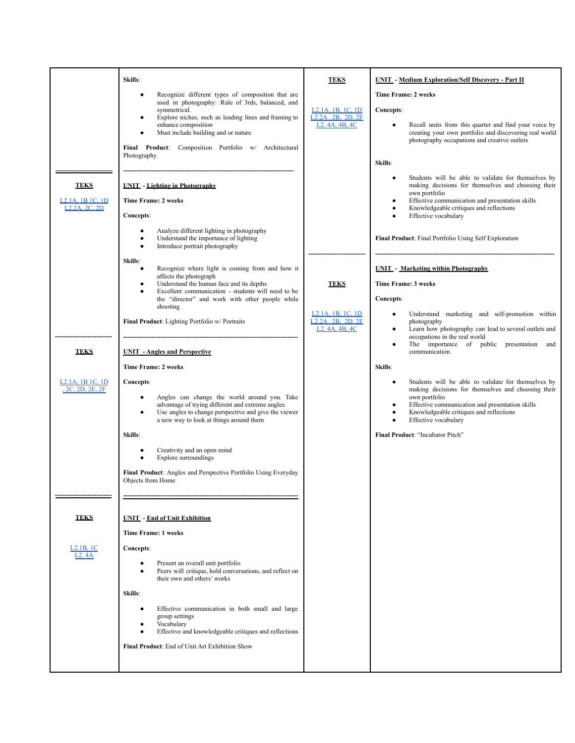|                                                                          | Skills:                                                                                                                                                                                                                                                                                                                                                                                                                                                                                                                                                                                                                                                        | <b>TEKS</b>                                                                                                                                                        | <b>UNIT</b> - Medium Exploration/Self Discovery - Part II                                                                                                                                                                                                                                                                                                                                                                                                                                                                                                                                                                    |
|--------------------------------------------------------------------------|----------------------------------------------------------------------------------------------------------------------------------------------------------------------------------------------------------------------------------------------------------------------------------------------------------------------------------------------------------------------------------------------------------------------------------------------------------------------------------------------------------------------------------------------------------------------------------------------------------------------------------------------------------------|--------------------------------------------------------------------------------------------------------------------------------------------------------------------|------------------------------------------------------------------------------------------------------------------------------------------------------------------------------------------------------------------------------------------------------------------------------------------------------------------------------------------------------------------------------------------------------------------------------------------------------------------------------------------------------------------------------------------------------------------------------------------------------------------------------|
|                                                                          | Recognize different types of composition that are<br>$\bullet$<br>used in photography: Rule of 3rds, balanced, and<br>symmetrical.<br>Explore niches, such as leading lines and framing to<br>٠<br>enhance composition<br>Must include building and or nature<br>Final Product: Composition Portfolio w/ Architectural<br>Photography                                                                                                                                                                                                                                                                                                                          | L <sub>2</sub> .1A, 1B, 1C, 1D<br>$L2.2A$ , 2B, 2D, 2F<br>L <sub>2</sub> . 4A, 4B, 4C                                                                              | <b>Time Frame: 2 weeks</b><br>Concepts:<br>Recall units from this quarter and find your voice by<br>$\bullet$<br>creating your own portfolio and discovering real world<br>photography occupations and creative outlets<br>Skills:<br>Students will be able to validate for themselves by                                                                                                                                                                                                                                                                                                                                    |
| <b>TEKS</b><br>L <sub>2</sub> , 1A, 1B 1C, 1D<br>L <sub>2</sub> 2A 2C 2D | <b>UNIT</b> - Lighting in Photography<br><b>Time Frame: 2 weeks</b><br>Concepts:<br>Analyze different lighting in photography<br>$\bullet$                                                                                                                                                                                                                                                                                                                                                                                                                                                                                                                     |                                                                                                                                                                    | making decisions for themselves and choosing their<br>own portfolio<br>Effective communication and presentation skills<br>٠<br>Knowledgeable critiques and reflections<br>٠<br>Effective vocabulary                                                                                                                                                                                                                                                                                                                                                                                                                          |
|                                                                          | Understand the importance of lighting<br>$\bullet$<br>Introduce portrait photography<br>$\bullet$                                                                                                                                                                                                                                                                                                                                                                                                                                                                                                                                                              |                                                                                                                                                                    | Final Product: Final Portfolio Using Self Exploration                                                                                                                                                                                                                                                                                                                                                                                                                                                                                                                                                                        |
| <b>TEKS</b><br>L <sub>2</sub> .1A, 1B 1C, 1D<br>, 2C, 2D, 2E, 2F         | Skills:<br>Recognize where light is coming from and how it<br>٠<br>affects the photograph<br>Understand the human face and its depths<br>$\bullet$<br>Excellent communication - students will need to be<br>$\bullet$<br>the "director" and work with other people while<br>shooting<br>Final Product: Lighting Portfolio w/ Portraits<br><b>UNIT</b> - Angles and Perspective<br><b>Time Frame: 2 weeks</b><br>Concepts:<br>Angles can change the world around you. Take<br>٠<br>advantage of trying different and extreme angles.<br>Use angles to change perspective and give the viewer<br>$\bullet$<br>a new way to look at things around them<br>Skills: | <b>TEKS</b><br>L <sub>2</sub> .1A, 1B, 1C, 1D<br>L <sub>2</sub> , 2 <sub>A</sub> , 2 <sub>B</sub> , 2 <sub>D</sub> , 2 <sub>F</sub><br>L <sub>2</sub> , 4A, 4B, 4C | <b>UNIT</b> - Marketing within Photography<br>Time Frame: 3 weeks<br>Concepts:<br>Understand marketing and self-promotion within<br>photography<br>Learn how photography can lead to several outlets and<br>٠<br>occupations in the real world<br>The importance of public presentation and<br>communication<br>Skills:<br>Students will be able to validate for themselves by<br>making decisions for themselves and choosing their<br>own portfolio<br>Effective communication and presentation skills<br>Knowledgeable critiques and reflections<br>Effective vocabulary<br>$\bullet$<br>Final Product: "Incubator Pitch" |
|                                                                          | Creativity and an open mind<br>٠<br>Explore surroundings<br>Final Product: Angles and Perspective Portfolio Using Everyday<br>Objects from Home                                                                                                                                                                                                                                                                                                                                                                                                                                                                                                                |                                                                                                                                                                    |                                                                                                                                                                                                                                                                                                                                                                                                                                                                                                                                                                                                                              |
| <b>TEKS</b>                                                              | <b>UNIT</b> - End of Unit Exhibition                                                                                                                                                                                                                                                                                                                                                                                                                                                                                                                                                                                                                           |                                                                                                                                                                    |                                                                                                                                                                                                                                                                                                                                                                                                                                                                                                                                                                                                                              |
| L2.1B, 1C<br>L2.4A                                                       | Time Frame: 1 weeks<br>Concepts:<br>Present an overall unit portfolio<br>Peers will critique, hold conversations, and reflect on<br>$\bullet$<br>their own and others' works<br>Skills:<br>Effective communication in both small and large<br>٠<br>group settings<br>Vocabulary<br>Effective and knowledgeable critiques and reflections<br>$\bullet$<br>Final Product: End of Unit Art Exhibition Show                                                                                                                                                                                                                                                        |                                                                                                                                                                    |                                                                                                                                                                                                                                                                                                                                                                                                                                                                                                                                                                                                                              |